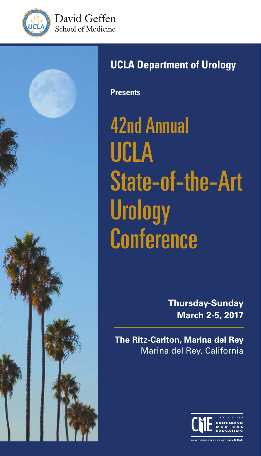





## **UCLA Department of Urology**

**Presents**

42nd Annual UCLA State-of-the-Art **Urology Conference** 

> **Thursday-Sunday March 2-5, 2017**

**The Ritz-Carlton, Marina del Rey** Marina del Rey, California

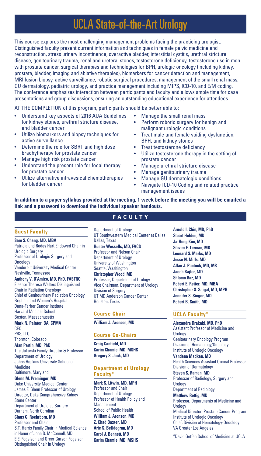## UCLA State-of-the-Art Urology

This course explores the most challenging management problems facing the practicing urologist. Distinguished faculty present current information and techniques in female pelvic medicine and reconstruction, stress urinary incontinence, overactive bladder, interstitial cystitis, urethral stricture disease, genitourinary trauma, renal and ureteral stones, testosterone deficiency, testosterone use in men with prostate cancer, surgical therapies and technologies for BPH, urologic oncology (including kidney, prostate, bladder, imaging and ablative therapies), biomarkers for cancer detection and management, MRI fusion biopsy, active surveillance, robotic surgical procedures, management of the small renal mass, GU dermatology, pediatric urology, and practice management including MIPS, ICD-10, and E/M coding. The conference emphasizes interaction between participants and faculty and allows ample time for case presentations and group discussions, ensuring an outstanding educational experience for attendees.

AT THE COMPLETION of this program, participants should be better able to:

- Understand key aspects of 2016 AUA Guidelines for kidney stones, urethral stricture disease, and bladder cancer
- Utilize biomarkers and biopsy techniques for active surveillance
- Determine the role for SBRT and high dose brachytherapy for prostate cancer
- Manage high risk prostate cancer
- Understand the present role for focal therapy for prostate cancer
- Utilize alternative intravesical chemotherapies for bladder cancer
- Manage the small renal mass
- Perform robotic surgery for benign and malignant urologic conditions
- Treat male and female voiding dysfunction, BPH, and kidney stones
- Treat testosterone deficiency
- Utilize testosterone therapy in the setting of prostate cancer
- Manage urethral stricture disease
- Manage genitourinary trauma
- Manage GU dermatologic conditions
- Navigate ICD-10 Coding and related practice management issues

**In addition to a paper syllabus provided at the meeting, 1 week before the meeting you will be emailed a link and a password to download the individual speaker handouts.**

#### **Guest Faculty**

**Sam S. Chang, MD, MBA** Patricia and Rodes Hart Endowed Chair in Urologic Surgery Professor of Urologic Surgery and **Oncology** Vanderbilt University Medical Center Nashville, Tennessee

**Anthony V. D'Amico, MD, PhD, FASTRO** Eleanor Theresa Walters Distinguished Chair in Radiation Oncology Chief of Genitourinary Radiation Oncology Brigham and Women's Hospital Dana-Farber Cancer Institute Harvard Medical School Boston, Massachusetts

**Mark N. Painter, BA, CPMA** CEO

PRS, LLC Thornton, Colorado **Alan Partin, MD, PhD**

The Jakurski Family Director & Professor Department of Urology Johns Hopkins University School of Medicine Baltimore, Maryland

#### **Glenn M. Preminger, MD**

Duke University Medical Center James F. Glenn Professor of Urology Director, Duke Comprehensive Kidney Stone Center Department of Urologic Surgery Durham, North Carolina

#### **Claus G. Roehrborn, MD**  Professor and Chair S.T. Harris Family Chair in Medical Science, in Honor of John D. McConnell, MD E.E. Fogelson and Greer Garson Fogelson Distinguished Chair in Urology

### **FACULTY**

Department of Urology UT Southwestern Medical Center at Dallas Dallas, Texas **Hunter Wessells, MD, FACS**  Professor and Nelson Chair Department of Urology University of Washington

Seattle, Washington **Christopher Wood, MD**  Professor, Department of Urology

Vice Chairman, Department of Urology Division of Surgery UT MD Anderson Cancer Center Houston, Texas

#### **Course Chair**

**William J. Aronson, MD**

#### **Course Co-Chairs**

**Craig Canfield, MD Karim Chamie, MD, MSHS Gregory S. Jack, MD**

#### **Department of Urology Faculty\***

**Mark S. Litwin, MD, MPH** Professor and Chair Department of Urology Professor of Health Policy and Management School of Public Health

#### **William J. Aronson, MD**

**Z. Chad Baxter, MD Arie S. Belldegrun, MD Carol J. Bennett, MD Karim Chamie, MD, MSHS** **Arnold I. Chin, MD, PhD Stuart Holden, MD Ja-Hong Kim, MD Steven E. Lerman, MD Leonard S. Marks, MD Jesse N. Mills, MD Allan J. Pantuck, MD, MS Jacob Rajfer, MD Shlomo Raz, MD Robert E. Reiter, MD, MBA Christopher S. Saigal, MD, MPH Jennifer S. Singer, MD Robert B. Smith, MD**

#### **UCLA Faculty\***

**Alexandra Drakaki, MD, PhD** Assistant Professor of Medicine and Urology Genitourinary Oncology Program Division of Hematology/Oncology Institute of Urologic Oncology

**Vandana Madkan, MD** Health Sciences Assistant Clinical Professor Division of Dermatology **Steven S. Raman, MD**

Professor of Radiology, Surgery and Urology

#### Department of Radiology **Matthew Rettig, MD**

Professor, Departments of Medicine and Urology Medical Director, Prostate Cancer Program Institute of Urologic Oncology Chief, Division of Hematology-Oncology VA Greater Los Angeles

\*David Geffen School of Medicine at UCLA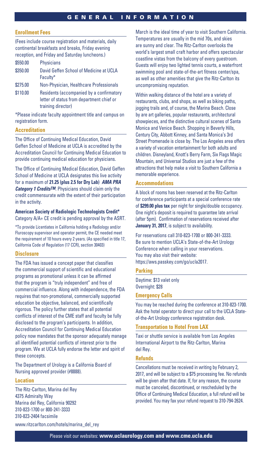#### **Enrollment Fees**

(Fees include course registration and materials, daily continental breakfasts and breaks, Friday evening reception, and Friday and Saturday luncheons.)

| \$550.00 | <b>Physicians</b>                                   |
|----------|-----------------------------------------------------|
| \$350.00 | David Geffen School of Medicine at UCLA<br>Faculty* |
| \$275.00 | Non-Physician, Healthcare Professionals             |

\$110.00 Residents (accompanied by a confirmatory letter of status from department chief or training director)

\*Please indicate faculty appointment title and campus on registration form.

#### **Accreditation**

The Office of Continuing Medical Education, David Geffen School of Medicine at UCLA is accredited by the Accreditation Council for Continuing Medical Education to provide continuing medical education for physicians.

The Office of Continuing Medical Education, David Geffen School of Medicine at UCLA designates this live activity for a maximum of **21.25 (plus 2.5 for Dry Lab)** *AMA PRA Category 1 CreditsTM.* Physicians should claim only the credit commensurate with the extent of their participation in the activity.

**American Society of Radiologic Technologists Credit\*** Category A/A+ CE credit is pending approval by the ASRT.

\*To provide Licentiates in California holding a Radiology and/or Fluroscopy supervisor and operator permit, the CE needed meet the requirement of 10 hours every 2 years. (As specified in title 17, California Code of Regulation (17 CCR), section 30403)

#### **Disclosure**

The FDA has issued a concept paper that classifies the commercial support of scientific and educational programs as promotional unless it can be affirmed that the program is "truly independent" and free of commercial influence. Along with independence, the FDA requires that non-promotional, commercially supported education be objective, balanced, and scientifically rigorous. The policy further states that all potential conflicts of interest of the CME staff and faculty be fully disclosed to the program's participants. In addition, Accreditation Council for Continuing Medical Education policy now mandates that the sponsor adequately manage all identified potential conflicts of interest prior to the program. We at UCLA fully endorse the letter and spirit of these concepts.

The Department of Urology is a California Board of Nursing approved provider (#8888).

#### **Location**

The Ritz-Carlton, Marina del Rey 4375 Admiralty Way Marina del Rey, California 90292 310-823-1700 or 800-241-3333 310-823-2404 facsimile

www.ritzcarlton.com/hotels/marina\_del\_rey

March is the ideal time of year to visit Southern California. Temperatures are usually in the mid 70s, and skies are sunny and clear. The Ritz-Carlton overlooks the world's largest small craft harbor and offers spectacular coastline vistas from the balcony of every guestroom. Guests will enjoy two lighted tennis courts, a waterfront swimming pool and state-of-the-art fitness center/spa, as well as other amenities that give the Ritz-Carlton its uncompromising reputation.

Within walking distance of the hotel are a variety of restaurants, clubs, and shops, as well as biking paths, jogging trails and, of course, the Marina Beach. Close by are art galleries, popular restaurants, architectural showpieces, and the distinctive cultural scenes of Santa Monica and Venice Beach. Shopping in Beverly Hills, Century City, Abbott Kinney, and Santa Monica's 3rd Street Promenade is close by. The Los Angeles area offers a variety of vacation entertainment for both adults and children. Disneyland, Knott's Berry Farm, Six Flags Magic Mountain, and Universal Studios are just a few of the attractions that help make a visit to Southern California a memorable experience.

#### **Accommodations**

A block of rooms has been reserved at the Ritz-Carlton for conference participants at a special conference rate of **\$299.00 plus tax** per night for single/double occupancy. One night's deposit is required to guarantee late arrival (after 5pm). Confirmation of reservations received after **January 31, 2017**, is subject to availability.

For reservations call 310-823-1700 or 800-241-3333. Be sure to mention UCLA's State-of-the-Art Urology Conference when calling in your reservations. You may also visit their website: https://aws.passkey.com/go/ucla2017.

#### **Parking**

Daytime: \$13 valet only Overnight: \$28

#### **Emergency Calls**

You may be reached during the conference at 310-823-1700. Ask the hotel operator to direct your call to the UCLA Stateof-the-Art Urology conference registration desk.

#### **Transportation to Hotel From LAX**

Taxi or shuttle service is available from Los Angeles International Airport to the Ritz-Carlton, Marina del Rey.

#### **Refunds**

Cancellations must be received in writing by February 2, 2017, and will be subject to a \$75 processing fee. No refunds will be given after that date. If, for any reason, the course must be canceled, discontinued, or rescheduled by the Office of Continuing Medical Education, a full refund will be provided. You may fax your refund request to 310-794-2624.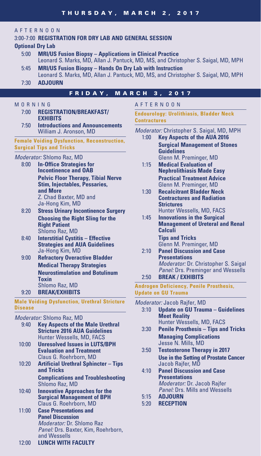#### AFTERNOON

|                                                                                       | 3:00-7:00 REGISTRATION FOR DRY LAB AND GENERAL SESSION                                                                                                                  |                                                                                    |  |  |  |  |  |
|---------------------------------------------------------------------------------------|-------------------------------------------------------------------------------------------------------------------------------------------------------------------------|------------------------------------------------------------------------------------|--|--|--|--|--|
| <b>Optional Dry Lab</b>                                                               |                                                                                                                                                                         |                                                                                    |  |  |  |  |  |
| 5:00                                                                                  | <b>MRI/US Fusion Biopsy - Applications in Clinical Practice</b><br>Leonard S. Marks, MD, Allan J. Pantuck, MD, MS, and Christopher S. Saigal, MD, MPH                   |                                                                                    |  |  |  |  |  |
| 5:45                                                                                  | <b>MRI/US Fusion Biopsy - Hands On Dry Lab with Instruction</b><br>Leonard S. Marks, MD, Allan J. Pantuck, MD, MS, and Christopher S. Saigal, MD, MPH<br><b>ADJOURN</b> |                                                                                    |  |  |  |  |  |
| 7:30                                                                                  |                                                                                                                                                                         |                                                                                    |  |  |  |  |  |
| FRIDAY, MARCH 3, 2017                                                                 |                                                                                                                                                                         |                                                                                    |  |  |  |  |  |
| MORNING<br>7:00                                                                       | <b>REGISTRATION/BREAKFAST/</b><br><b>EXHIBITS</b>                                                                                                                       | <b>AFTERNOON</b>                                                                   |  |  |  |  |  |
|                                                                                       |                                                                                                                                                                         | <b>Endourology: Urolithiasis, Bladder Neck</b><br><b>Contractures</b>              |  |  |  |  |  |
| 7:50                                                                                  | <b>Introductions and Announcements</b><br>William J. Aronson, MD                                                                                                        | Moderator: Christopher S. Saigal, MD, MPH                                          |  |  |  |  |  |
| <b>Female Voiding Dysfunction, Reconstruction,</b><br><b>Surgical Tips and Tricks</b> |                                                                                                                                                                         | <b>Key Aspects of the AUA 2016</b><br>1:00<br><b>Surgical Management of Stones</b> |  |  |  |  |  |

*Moderator:* Shlomo Raz, MD

- 8:00 **In-Office Strategies for Incontinence and OAB Pelvic Floor Therapy, Tibial Nerve Stim, Injectables, Pessaries, and More** Z. Chad Baxter, MD and Ja-Hong Kim, MD
- 8:20 **Stress Urinary Incontinence Surgery Choosing the Right Sling for the Right Patient** Shlomo Raz, MD
- 8:40 **Interstitial Cystitis Effective Strategies and AUA Guidelines** Ja-Hong Kim, MD
- 9:00 **Refractory Overactive Bladder Medical Therapy Strategies Neurostimulation and Botulinum Toxin** Shlomo Raz, MD

#### 9:20 **BREAK/EXHIBITS**

**Male Voiding Dysfunction, Urethral Stricture Disease**

*Moderator:* Shlomo Raz, MD

- 9:40 **Key Aspects of the Male Urethral Stricture 2016 AUA Guidelines** Hunter Wessells, MD, FACS
- 10:00 **Unresolved Issues in LUTS/BPH Evaluation and Treatment** Claus G. Roehrborn, MD
- 10:20 **Artificial Urethral Sphincter Tips and Tricks Complications and Troubleshooting**
- Shlomo Raz, MD 10:40 **Innovative Approaches for the Surgical Management of BPH** Claus G. Roehrborn, MD
- 11:00 **Case Presentations and Panel Discussion** *Moderator:* Dr. Shlomo Raz *Panel:* Drs. Baxter, Kim, Roehrborn, and Wessells

*Moderator:* Dr. Christopher S. Saigal *Panel:* Drs. Preminger and Wessells 2:50 **BREAK / EXHIBITS**

Glenn M. Preminger, MD 2:10 **Panel Discussion and Case Presentations**

**Androgen Deficiency, Penile Prosthesis, Update on GU Trauma**

*Moderator:* Jacob Rajfer, MD

**Guidelines**

**Strictures**

**Calculi**

**Tips and Tricks**

1:15 **Medical Evaluation of** 

Glenn M. Preminger, MD

**Nephrolithiasis Made Easy Practical Treatment Advice** Glenn M. Preminger, MD 1:30 **Recalcitrant Bladder Neck Contractures and Radiation** 

Hunter Wessells, MD, FACS 1:45 **Innovations in the Surgical** 

**Management of Ureteral and Renal** 

- 3:10 **Update on GU Trauma Guidelines Meet Reality** Hunter Wessells, MD, FACS
- 3:30 **Penile Prosthesis Tips and Tricks Managing Complications** Jesse N. Mills, MD
- 3:50 **Testosterone Therapy in 2017 Use in the Setting of Prostate Cancer** Jacob Rajfer, MD
- 4:10 **Panel Discussion and Case Presentations** *Moderator:* Dr. Jacob Rajfer *Panel:* Drs. Mills and Wessells
- 5:15 **ADJOURN**
- 5:20 **RECEPTION**

12:00 **LUNCH WITH FACULTY**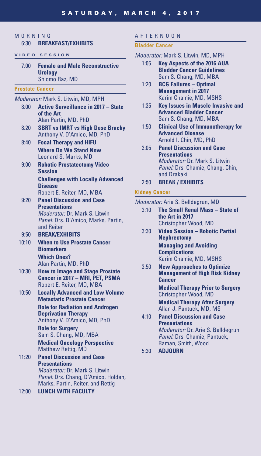#### **MORNING** 6:30 **BREAKFAST/EXHIBITS**

#### **VIDEO SESSION**

7:00 **Female and Male Reconstructive Urology** Shlomo Raz, MD

#### **Prostate Cancer**

#### *Moderator:* Mark S. Litwin, MD, MPH

- 8:00 **Active Surveillance in 2017 State of the Art** Alan Partin, MD, PhD
- 8:20 **SBRT vs IMRT vs High Dose Brachy** Anthony V. D'Amico, MD, PhD
- 8:40 **Focal Therapy and HIFU Where Do We Stand Now** Leonard S. Marks, MD
- 9:00 **Robotic Prostatectomy Video Session Challenges with Locally Advanced Disease** Robert E. Reiter, MD, MBA
- 9:20 **Panel Discussion and Case Presentations** *Moderator:* Dr. Mark S. Litwin

*Panel:* Drs. D'Amico, Marks, Partin, and Reiter

#### 9:50 **BREAK/EXHIBITS**

- 10:10 **When to Use Prostate Cancer Biomarkers Which Ones?** Alan Partin, MD, PhD
- 10:30 **How to Image and Stage Prostate Cancer in 2017 – MRI, PET, PSMA** Robert E. Reiter, MD, MBA
- 10:50 **Locally Advanced and Low Volume Metastatic Prostate Cancer Role for Radiation and Androgen Deprivation Therapy** Anthony V. D'Amico, MD, PhD **Role for Surgery** Sam S. Chang, MD, MBA **Medical Oncology Perspective** Matthew Rettig, MD
- 11:20 **Panel Discussion and Case Presentations** *Moderator:* Dr. Mark S. Litwin *Panel:* Drs. Chang, D'Amico, Holden, Marks, Partin, Reiter, and Rettig
- 12:00 **LUNCH WITH FACULTY**

#### AFTERNOON

#### **Bladder Cancer**

*Moderator:* Mark S. Litwin, MD, MPH

- 1:05 **Key Aspects of the 2016 AUA Bladder Cancer Guidelines** Sam S. Chang, MD, MBA
- 1:20 **BCG Failures Optimal Management in 2017** Karim Chamie, MD, MSHS
- 1:35 **Key Issues in Muscle Invasive and Advanced Bladder Cancer** Sam S. Chang, MD, MBA
- 1:50 **Clinical Use of Immunotherapy for Advanced Disease** Arnold I. Chin, MD, PhD
- 2:05 **Panel Discussion and Case Presentations** *Moderator:* Dr. Mark S. Litwin *Panel:* Drs. Chamie, Chang, Chin, and Drakaki
- 2:50 **BREAK / EXHIBITS**

#### **Kidney Cancer**

*Moderator:* Arie S. Belldegrun, MD

- 3:10 **The Small Renal Mass State of the Art in 2017** Christopher Wood, MD
- 3:30 **Video Session Robotic Partial Nephrectomy Managing and Avoiding Complications** Karim Chamie, MD, MSHS
- 3:50 **New Approaches to Optimize Management of High Risk Kidney Cancer Medical Therapy Prior to Surgery**  Christopher Wood, MD

 **Medical Therapy After Surgery**  Allan J. Pantuck, MD, MS

- 4:10 **Panel Discussion and Case Presentations** *Moderator:* Dr. Arie S. Belldegrun *Panel:* Drs. Chamie, Pantuck, Raman, Smith, Wood
- 5:30 **ADJOURN**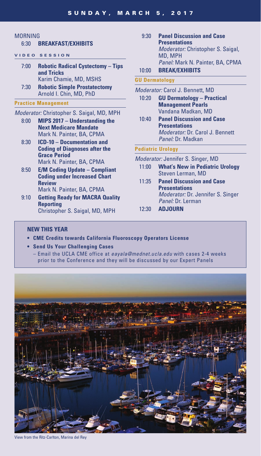| <b>MORNING</b>                                   |                                                                                                                                                                         | 9:30                                                                                 | <b>Panel Discussion and Case</b>                                                                                        |  |
|--------------------------------------------------|-------------------------------------------------------------------------------------------------------------------------------------------------------------------------|--------------------------------------------------------------------------------------|-------------------------------------------------------------------------------------------------------------------------|--|
| 6:30                                             | <b>BREAKFAST/EXHIBITS</b>                                                                                                                                               |                                                                                      | <b>Presentations</b>                                                                                                    |  |
| 7:00                                             | <b>VIDEO SESSION</b><br><b>Robotic Radical Cystectomy - Tips</b>                                                                                                        |                                                                                      | Moderator: Christopher S. Saigal,<br>MD, MPH<br>Panel: Mark N. Painter, BA, CPMA                                        |  |
|                                                  | and Tricks                                                                                                                                                              | 10:00                                                                                | <b>BREAK/EXHIBITS</b>                                                                                                   |  |
|                                                  | Karim Chamie, MD, MSHS                                                                                                                                                  | <b>GU Dermatology</b>                                                                |                                                                                                                         |  |
| 7:30                                             | <b>Robotic Simple Prostatectomy</b><br>Arnold I. Chin, MD, PhD                                                                                                          | <b>Moderator: Carol J. Bennett, MD</b><br>10:20<br><b>GU Dermatology - Practical</b> |                                                                                                                         |  |
| <b>Practice Management</b>                       |                                                                                                                                                                         |                                                                                      | <b>Management Pearls</b>                                                                                                |  |
| <b>Moderator: Christopher S. Saigal, MD, MPH</b> |                                                                                                                                                                         |                                                                                      | Vandana Madkan, MD                                                                                                      |  |
| 8:00<br>8:30                                     | MIPS 2017 - Understanding the<br><b>Next Medicare Mandate</b><br>Mark N. Painter, BA, CPMA<br><b>ICD-10 - Documentation and</b>                                         | 10:40                                                                                | <b>Panel Discussion and Case</b><br><b>Presentations</b><br><b>Moderator: Dr. Carol J. Bennett</b><br>Panel: Dr. Madkan |  |
|                                                  | <b>Coding of Diagnoses after the</b><br><b>Grace Period</b><br>Mark N. Painter, BA, CPMA<br><b>E/M Coding Update - Compliant</b><br><b>Coding under Increased Chart</b> |                                                                                      | <b>Pediatric Urology</b>                                                                                                |  |
|                                                  |                                                                                                                                                                         | Moderator: Jennifer S. Singer, MD                                                    |                                                                                                                         |  |
| 8:50                                             |                                                                                                                                                                         | 11:00                                                                                | <b>What's New in Pediatric Urology</b><br>Steven Lerman, MD                                                             |  |
|                                                  | <b>Review</b><br>Mark N. Painter, BA, CPMA                                                                                                                              | 11:35                                                                                | <b>Panel Discussion and Case</b><br><b>Presentations</b>                                                                |  |
| 9:10                                             | <b>Getting Ready for MACRA Quality</b><br><b>Reporting</b>                                                                                                              |                                                                                      | <i>Moderator: Dr. Jennifer S. Singer</i><br>Panel: Dr. Lerman                                                           |  |
|                                                  | Christopher S. Saigal, MD, MPH                                                                                                                                          | 12:30                                                                                | <b>ADJOURN</b>                                                                                                          |  |

#### **NEW THIS YEAR**

MORNING

- **• CME Credits towards California Fluoroscopy Operators License**
- **• Send Us Your Challenging Cases**
	- Email the UCLA CME office at *eayala@mednet.ucla.edu* with cases 2-4 weeks prior to the Conference and they will be discussed by our Expert Panels



View from the Ritz-Carlton, Marina del Rey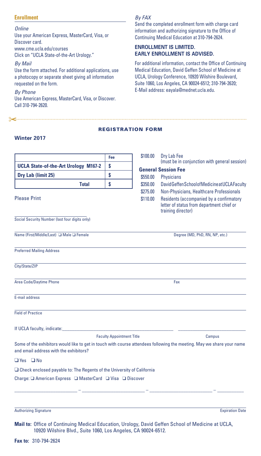#### **Enrollment**

*Online*

Use your American Express, MasterCard, Visa, or Discover card. www.cme.ucla.edu/courses Click on "UCLA State-of-the-Art Urology."

*By Mail*

Use the form attached. For additional applications, use a photocopy or separate sheet giving all information requested on the form.

*By Phone* Use American Express, MasterCard, Visa, or Discover. Call 310-794-2620.

"

#### *By FAX*

Send the completed enrollment form with charge card information and authorizing signature to the Office of Continuing Medical Education at 310-794-2624.

#### **ENROLLMENT IS LIMITED. EARLY ENROLLMENT IS ADVISED.**

For additional information, contact the Office of Continuing Medical Education, David Geffen School of Medicine at UCLA, Urology Conference, 10920 Wilshire Boulevard, Suite 1060, Los Angeles, CA 90024-6512; 310-794-2620; E-Mail address: eayala@mednet.ucla.edu.

#### REGISTRATION FORM

#### **Winter 2017**

|                                                                                                                                                                     | Fee                              | \$100.00             | Dry Lab Fee                                                                                                                                             |  |
|---------------------------------------------------------------------------------------------------------------------------------------------------------------------|----------------------------------|----------------------|---------------------------------------------------------------------------------------------------------------------------------------------------------|--|
| <b>UCLA State-of-the-Art Urology M167-2</b>                                                                                                                         | \$<br>\$                         |                      | (must be in conjunction with general session)<br><b>General Session Fee</b>                                                                             |  |
| Dry Lab (limit 25)                                                                                                                                                  |                                  | \$550.00             | <b>Physicians</b>                                                                                                                                       |  |
| <b>Total</b>                                                                                                                                                        | \$                               | \$350.00             | David Geffen School of Medicine at UCLA Faculty                                                                                                         |  |
| <b>Please Print</b>                                                                                                                                                 |                                  | \$275.00<br>\$110.00 | Non-Physicians, Healthcare Professionals<br>Residents (accompanied by a confirmatory<br>letter of status from department chief or<br>training director) |  |
| Social Security Number (last four digits only)                                                                                                                      |                                  |                      |                                                                                                                                                         |  |
| Name (First/Middle/Last) □ Male □ Female                                                                                                                            |                                  |                      | Degree (MD, PhD, RN, NP, etc.)                                                                                                                          |  |
| <b>Preferred Mailing Address</b>                                                                                                                                    |                                  |                      |                                                                                                                                                         |  |
| City/State/ZIP                                                                                                                                                      |                                  |                      |                                                                                                                                                         |  |
| Area Code/Daytime Phone                                                                                                                                             |                                  |                      | Fax                                                                                                                                                     |  |
| E-mail address                                                                                                                                                      |                                  |                      |                                                                                                                                                         |  |
| <b>Field of Practice</b>                                                                                                                                            |                                  |                      |                                                                                                                                                         |  |
| If UCLA faculty, indicate:                                                                                                                                          |                                  |                      |                                                                                                                                                         |  |
|                                                                                                                                                                     | <b>Faculty Appointment Title</b> |                      | Campus                                                                                                                                                  |  |
| Some of the exhibitors would like to get in touch with course attendees following the meeting. May we share your name<br>and email address with the exhibitors?     |                                  |                      |                                                                                                                                                         |  |
| $\Box$ Yes $\Box$ No                                                                                                                                                |                                  |                      |                                                                                                                                                         |  |
| $\Box$ Check enclosed payable to: The Regents of the University of California                                                                                       |                                  |                      |                                                                                                                                                         |  |
|                                                                                                                                                                     |                                  |                      |                                                                                                                                                         |  |
|                                                                                                                                                                     |                                  |                      |                                                                                                                                                         |  |
| <b>Authorizing Signature</b>                                                                                                                                        |                                  |                      | <b>Expiration Date</b>                                                                                                                                  |  |
| Mail to: Office of Continuing Medical Education, Urology, David Geffen School of Medicine at UCLA,<br>10920 Wilshire Blvd., Suite 1060, Los Angeles, CA 90024-6512. |                                  |                      |                                                                                                                                                         |  |